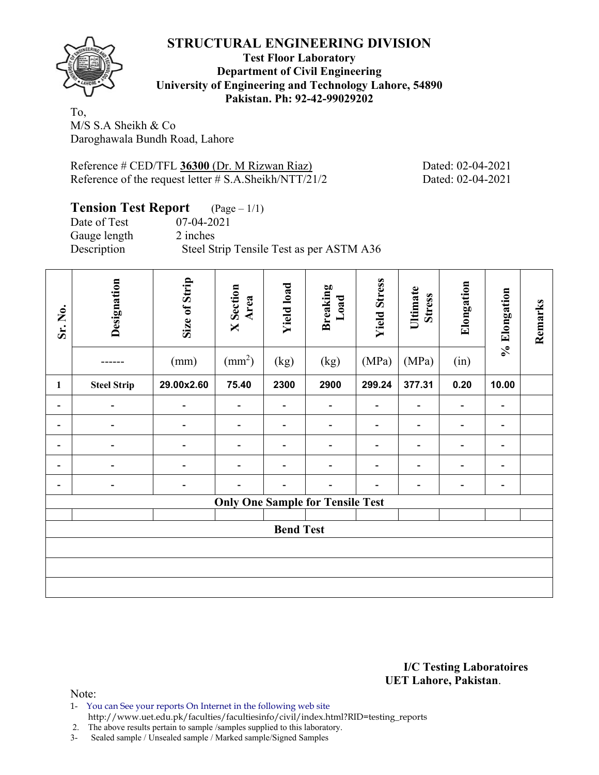### **STRUCTURAL ENGINEERING DIVISION**



#### **Test Floor Laboratory Department of Civil Engineering University of Engineering and Technology Lahore, 54890 Pakistan. Ph: 92-42-99029202**

To, M/S S.A Sheikh & Co Daroghawala Bundh Road, Lahore

Reference # CED/TFL **36300** (Dr. M Rizwan Riaz) Dated: 02-04-2021 Reference of the request letter # S.A.Sheikh/NTT/21/2 Dated: 02-04-2021

### **Tension Test Report** (Page – 1/1) Date of Test 07-04-2021 Gauge length 2 inches Description Steel Strip Tensile Test as per ASTM A36

| Sr. No.                      | Designation        | Size of Strip            | <b>X</b> Section<br>Area | <b>Yield load</b>            | <b>Breaking</b><br>Load                 | <b>Yield Stress</b>          | Ultimate<br><b>Stress</b>    | Elongation                   | % Elongation             | Remarks |  |  |
|------------------------------|--------------------|--------------------------|--------------------------|------------------------------|-----------------------------------------|------------------------------|------------------------------|------------------------------|--------------------------|---------|--|--|
|                              |                    | (mm)                     | $\text{mm}^2$            | (kg)                         | (kg)                                    | (MPa)                        | (MPa)                        | (in)                         |                          |         |  |  |
| 1                            | <b>Steel Strip</b> | 29.00x2.60               | 75.40                    | 2300                         | 2900                                    | 299.24                       | 377.31                       | 0.20                         | 10.00                    |         |  |  |
| -                            |                    |                          | $\overline{\phantom{a}}$ | -                            |                                         | $\qquad \qquad \blacksquare$ | $\qquad \qquad \blacksquare$ | $\overline{a}$               | $\overline{\phantom{0}}$ |         |  |  |
| $\qquad \qquad \blacksquare$ |                    |                          | $\blacksquare$           | $\overline{\phantom{a}}$     | -                                       |                              | $\qquad \qquad \blacksquare$ | $\qquad \qquad \blacksquare$ | $\overline{\phantom{a}}$ |         |  |  |
| -                            |                    |                          |                          |                              | $\overline{a}$                          |                              | $\overline{\phantom{a}}$     | ۰                            | $\blacksquare$           |         |  |  |
| -                            |                    | $\overline{a}$           | $\blacksquare$           | $\qquad \qquad \blacksquare$ | $\overline{a}$                          |                              | $\overline{\phantom{a}}$     |                              | $\overline{a}$           |         |  |  |
| $\overline{\phantom{a}}$     |                    | $\overline{\phantom{0}}$ | $\blacksquare$           | $\blacksquare$               | $\blacksquare$                          |                              | -                            | ۰                            | $\overline{\phantom{a}}$ |         |  |  |
|                              |                    |                          |                          |                              | <b>Only One Sample for Tensile Test</b> |                              |                              |                              |                          |         |  |  |
| <b>Bend Test</b>             |                    |                          |                          |                              |                                         |                              |                              |                              |                          |         |  |  |
|                              |                    |                          |                          |                              |                                         |                              |                              |                              |                          |         |  |  |
|                              |                    |                          |                          |                              |                                         |                              |                              |                              |                          |         |  |  |
|                              |                    |                          |                          |                              |                                         |                              |                              |                              |                          |         |  |  |

**I/C Testing Laboratoires UET Lahore, Pakistan**.

Note:

- 1- You can See your reports On Internet in the following web site
- http://www.uet.edu.pk/faculties/facultiesinfo/civil/index.html?RID=testing\_reports

2. The above results pertain to sample /samples supplied to this laboratory.

3- Sealed sample / Unsealed sample / Marked sample/Signed Samples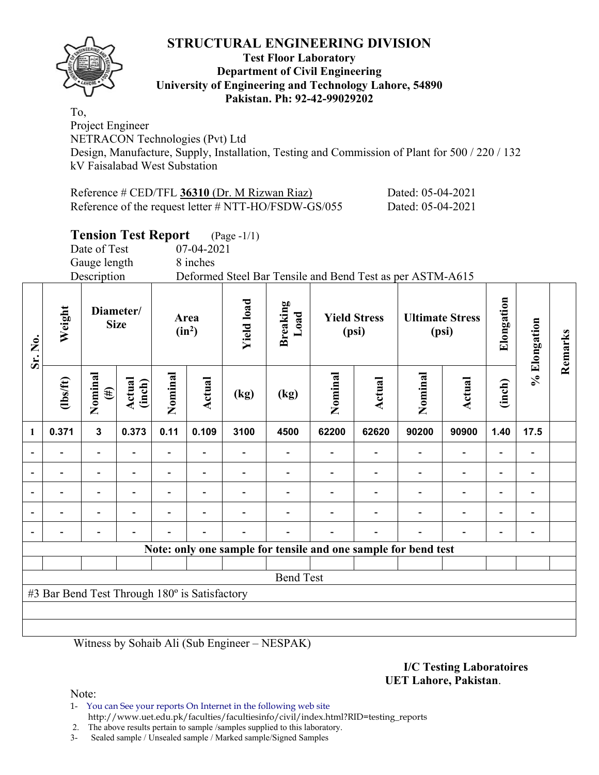## **STRUCTURAL ENGINEERING DIVISION**



#### **Test Floor Laboratory Department of Civil Engineering University of Engineering and Technology Lahore, 54890 Pakistan. Ph: 92-42-99029202**

To, Project Engineer NETRACON Technologies (Pvt) Ltd Design, Manufacture, Supply, Installation, Testing and Commission of Plant for 500 / 220 / 132 kV Faisalabad West Substation

| Reference $\#$ CED/TFL 36310 (Dr. M Rizwan Riaz)     | Dated: 05-04-2021 |
|------------------------------------------------------|-------------------|
| Reference of the request letter # NTT-HO/FSDW-GS/055 | Dated: 05-04-2021 |

## **Tension Test Report** (Page -1/1)

Date of Test 07-04-2021

Gauge length 8 inches

Description Deformed Steel Bar Tensile and Bend Test as per ASTM-A615

| Sr. No.                                       | Weight   | Diameter/<br><b>Size</b> |                  | Area<br>$(in^2)$ |                          | <b>Yield load</b> | <b>Breaking</b><br>Load                                        | <b>Yield Stress</b><br>(psi) |        | <b>Ultimate Stress</b><br>(psi) |                          | Elongation               | % Elongation             | Remarks |
|-----------------------------------------------|----------|--------------------------|------------------|------------------|--------------------------|-------------------|----------------------------------------------------------------|------------------------------|--------|---------------------------------|--------------------------|--------------------------|--------------------------|---------|
|                                               | (1bs/ft) | Nominal<br>$(\#)$        | Actual<br>(inch) | Nominal          | Actual                   | (kg)              | (kg)                                                           | Nominal                      | Actual | Nominal                         | <b>Actual</b>            | (inch)                   |                          |         |
| $\mathbf{1}$                                  | 0.371    | $\mathbf{3}$             | 0.373            | 0.11             | 0.109                    | 3100              | 4500                                                           | 62200                        | 62620  | 90200                           | 90900                    | 1.40                     | 17.5                     |         |
|                                               |          |                          |                  |                  |                          |                   |                                                                |                              |        | $\blacksquare$                  | $\overline{\phantom{0}}$ | $\blacksquare$           |                          |         |
|                                               |          |                          |                  |                  |                          |                   |                                                                |                              |        | $\blacksquare$                  | $\blacksquare$           | $\overline{\phantom{a}}$ |                          |         |
| $\overline{\phantom{a}}$                      |          |                          |                  |                  | $\overline{\phantom{0}}$ |                   |                                                                |                              |        | $\overline{\phantom{0}}$        | $\overline{\phantom{0}}$ | $\overline{\phantom{a}}$ |                          |         |
|                                               |          |                          |                  |                  |                          |                   |                                                                |                              |        | $\overline{\phantom{0}}$        | $\overline{\phantom{0}}$ | $\overline{\phantom{0}}$ | $\overline{\phantom{0}}$ |         |
|                                               |          |                          |                  |                  | $\blacksquare$           |                   |                                                                |                              |        |                                 | $\blacksquare$           | $\blacksquare$           | $\overline{\phantom{0}}$ |         |
|                                               |          |                          |                  |                  |                          |                   | Note: only one sample for tensile and one sample for bend test |                              |        |                                 |                          |                          |                          |         |
|                                               |          |                          |                  |                  |                          |                   |                                                                |                              |        |                                 |                          |                          |                          |         |
| <b>Bend Test</b>                              |          |                          |                  |                  |                          |                   |                                                                |                              |        |                                 |                          |                          |                          |         |
| #3 Bar Bend Test Through 180° is Satisfactory |          |                          |                  |                  |                          |                   |                                                                |                              |        |                                 |                          |                          |                          |         |
|                                               |          |                          |                  |                  |                          |                   |                                                                |                              |        |                                 |                          |                          |                          |         |
|                                               |          |                          |                  |                  |                          |                   |                                                                |                              |        |                                 |                          |                          |                          |         |

Witness by Sohaib Ali (Sub Engineer – NESPAK)

#### **I/C Testing Laboratoires UET Lahore, Pakistan**.

Note:

1- You can See your reports On Internet in the following web site http://www.uet.edu.pk/faculties/facultiesinfo/civil/index.html?RID=testing\_reports

2. The above results pertain to sample /samples supplied to this laboratory.

3- Sealed sample / Unsealed sample / Marked sample/Signed Samples